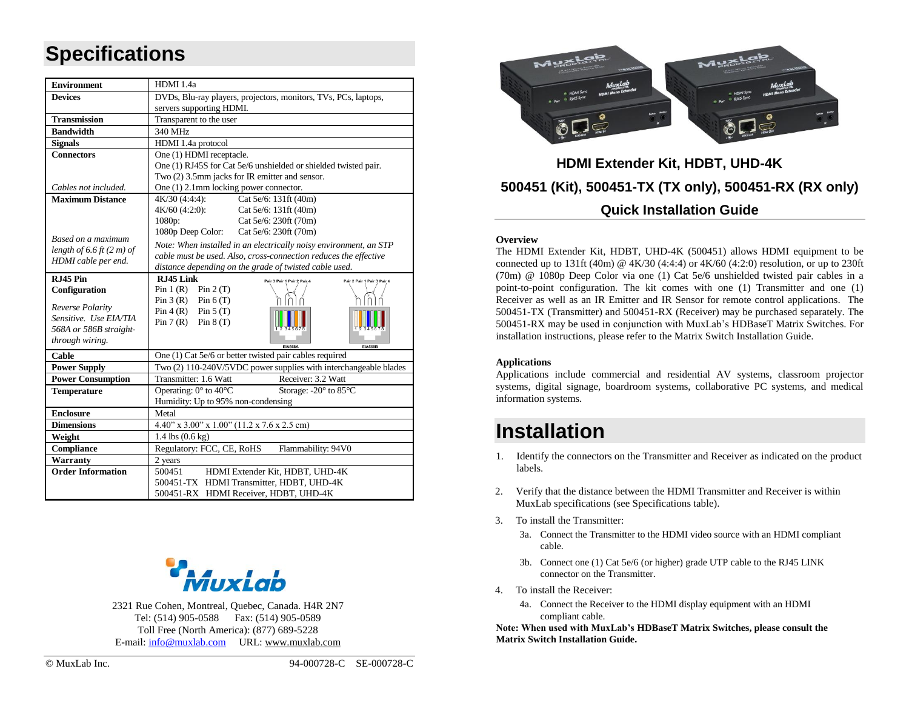# **Specifications**

| <b>Environment</b>          | HDMI 1.4a                                                                                      |  |  |  |  |  |  |
|-----------------------------|------------------------------------------------------------------------------------------------|--|--|--|--|--|--|
| <b>Devices</b>              | DVDs, Blu-ray players, projectors, monitors, TVs, PCs, laptops,                                |  |  |  |  |  |  |
|                             | servers supporting HDMI.                                                                       |  |  |  |  |  |  |
| <b>Transmission</b>         | Transparent to the user                                                                        |  |  |  |  |  |  |
| <b>Bandwidth</b>            | 340 MHz                                                                                        |  |  |  |  |  |  |
| <b>Signals</b>              | HDMI 1.4a protocol                                                                             |  |  |  |  |  |  |
| <b>Connectors</b>           | One (1) HDMI receptacle.                                                                       |  |  |  |  |  |  |
|                             | One (1) RJ45S for Cat 5e/6 unshielded or shielded twisted pair.                                |  |  |  |  |  |  |
|                             | Two (2) 3.5mm jacks for IR emitter and sensor.                                                 |  |  |  |  |  |  |
| Cables not included.        | One (1) 2.1mm locking power connector.                                                         |  |  |  |  |  |  |
| <b>Maximum Distance</b>     | 4K/30 (4:4:4):<br>Cat 5e/6: 131ft (40m)                                                        |  |  |  |  |  |  |
|                             | $4K/60$ (4:2:0):<br>Cat 5e/6: 131ft (40m)                                                      |  |  |  |  |  |  |
|                             | 1080p:<br>Cat 5e/6: 230ft (70m)                                                                |  |  |  |  |  |  |
| Based on a maximum          | 1080p Deep Color:<br>Cat 5e/6: 230ft (70m)                                                     |  |  |  |  |  |  |
| length of 6.6 ft $(2 m)$ of | Note: When installed in an electrically noisy environment, an STP                              |  |  |  |  |  |  |
| HDMI cable per end.         | cable must be used. Also, cross-connection reduces the effective                               |  |  |  |  |  |  |
|                             | distance depending on the grade of twisted cable used.                                         |  |  |  |  |  |  |
| RJ45 Pin<br>Configuration   | RJ45 Link<br>Pair 3 Pair 1 Pair 2 Pair 4<br>Pair 2 Pair 1 Pair 3 Pair 4<br>Pin 1 (R) Pin 2 (T) |  |  |  |  |  |  |
|                             | Pin $3(R)$ Pin $6(T)$                                                                          |  |  |  |  |  |  |
| Reverse Polarity            | $Pin 4 (R)$ $Pin 5 (T)$                                                                        |  |  |  |  |  |  |
| Sensitive. Use EIA/TIA      | Pin $7(R)$ Pin $8(T)$                                                                          |  |  |  |  |  |  |
| 568A or 586B straight-      |                                                                                                |  |  |  |  |  |  |
| through wiring.             | <b>FIA5684</b><br><b>EIA568B</b>                                                               |  |  |  |  |  |  |
| Cable                       | One (1) Cat 5e/6 or better twisted pair cables required                                        |  |  |  |  |  |  |
| <b>Power Supply</b>         | Two (2) 110-240V/5VDC power supplies with interchangeable blades                               |  |  |  |  |  |  |
| <b>Power Consumption</b>    | Receiver: 3.2 Watt<br>Transmitter: 1.6 Watt                                                    |  |  |  |  |  |  |
| <b>Temperature</b>          | Operating: 0° to 40°C<br>Storage: -20° to 85°C                                                 |  |  |  |  |  |  |
|                             | Humidity: Up to 95% non-condensing                                                             |  |  |  |  |  |  |
| <b>Enclosure</b>            | Metal                                                                                          |  |  |  |  |  |  |
| <b>Dimensions</b>           | 4.40" x 3.00" x 1.00" (11.2 x 7.6 x 2.5 cm)                                                    |  |  |  |  |  |  |
| Weight                      | 1.4 lbs (0.6 kg)                                                                               |  |  |  |  |  |  |
| Compliance                  | Regulatory: FCC, CE, RoHS<br>Flammability: 94V0                                                |  |  |  |  |  |  |
| <b>Warranty</b>             | 2 years                                                                                        |  |  |  |  |  |  |
| <b>Order Information</b>    | HDMI Extender Kit, HDBT, UHD-4K<br>500451                                                      |  |  |  |  |  |  |
|                             | 500451-TX HDMI Transmitter, HDBT, UHD-4K                                                       |  |  |  |  |  |  |
|                             | 500451-RX HDMI Receiver, HDBT, UHD-4K                                                          |  |  |  |  |  |  |



2321 Rue Cohen, Montreal, Quebec, Canada. H4R 2N7 Tel: (514) 905-0588 Fax: (514) 905-0589 Toll Free (North America): (877) 689-5228 E-mail[: info@muxlab.com](mailto:info@muxlab.com) URL: [www.muxlab.com](Original%20Documents/www.muxlab.com)



### **HDMI Extender Kit, HDBT, UHD-4K 500451 (Kit), 500451-TX (TX only), 500451-RX (RX only) Quick Installation Guide**

#### **Overview**

The HDMI Extender Kit, HDBT, UHD-4K (500451) allows HDMI equipment to be connected up to 131ft (40m)  $\omega$  4K/30 (4:4:4) or 4K/60 (4:2:0) resolution, or up to 230ft (70m) @ 1080p Deep Color via one (1) Cat 5e/6 unshielded twisted pair cables in a point-to-point configuration. The kit comes with one (1) Transmitter and one (1) Receiver as well as an IR Emitter and IR Sensor for remote control applications. The 500451-TX (Transmitter) and 500451-RX (Receiver) may be purchased separately. The 500451-RX may be used in conjunction with MuxLab's HDBaseT Matrix Switches. For installation instructions, please refer to the Matrix Switch Installation Guide.

#### **Applications**

Applications include commercial and residential AV systems, classroom projector systems, digital signage, boardroom systems, collaborative PC systems, and medical information systems.

## **Installation**

- 1. Identify the connectors on the Transmitter and Receiver as indicated on the product labels.
- 2. Verify that the distance between the HDMI Transmitter and Receiver is within MuxLab specifications (see Specifications table).
- 3. To install the Transmitter:
	- 3a. Connect the Transmitter to the HDMI video source with an HDMI compliant cable.
	- 3b. Connect one (1) Cat 5e/6 (or higher) grade UTP cable to the RJ45 LINK connector on the Transmitter.
- 4. To install the Receiver:
	- 4a. Connect the Receiver to the HDMI display equipment with an HDMI compliant cable.

**Note: When used with MuxLab's HDBaseT Matrix Switches, please consult the Matrix Switch Installation Guide.**